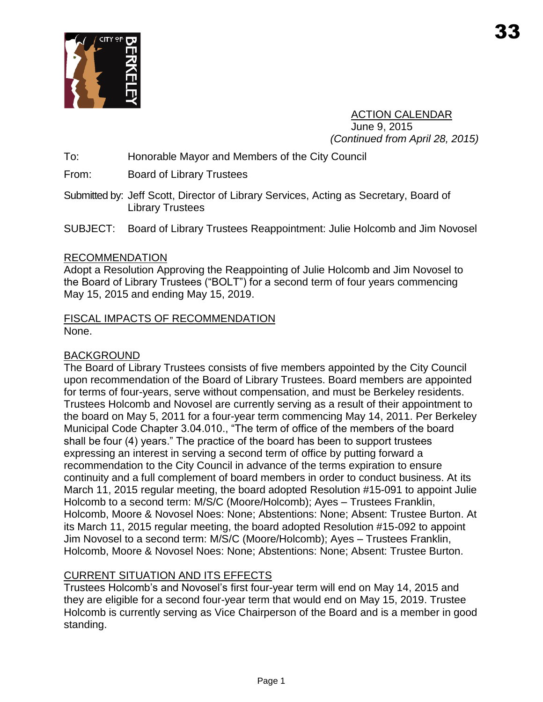

ACTION CALENDAR June 9, 2015 *(Continued from April 28, 2015)*

To: Honorable Mayor and Members of the City Council

From: Board of Library Trustees

Submitted by: Jeff Scott, Director of Library Services, Acting as Secretary, Board of Library Trustees

SUBJECT: Board of Library Trustees Reappointment: Julie Holcomb and Jim Novosel

### RECOMMENDATION

Adopt a Resolution Approving the Reappointing of Julie Holcomb and Jim Novosel to the Board of Library Trustees ("BOLT") for a second term of four years commencing May 15, 2015 and ending May 15, 2019.

## FISCAL IMPACTS OF RECOMMENDATION None.

## BACKGROUND

The Board of Library Trustees consists of five members appointed by the City Council upon recommendation of the Board of Library Trustees. Board members are appointed for terms of four-years, serve without compensation, and must be Berkeley residents. Trustees Holcomb and Novosel are currently serving as a result of their appointment to the board on May 5, 2011 for a four-year term commencing May 14, 2011. Per Berkeley Municipal Code Chapter 3.04.010., "The term of office of the members of the board shall be four (4) years." The practice of the board has been to support trustees expressing an interest in serving a second term of office by putting forward a recommendation to the City Council in advance of the terms expiration to ensure continuity and a full complement of board members in order to conduct business. At its March 11, 2015 regular meeting, the board adopted Resolution #15-091 to appoint Julie Holcomb to a second term: M/S/C (Moore/Holcomb); Ayes – Trustees Franklin, Holcomb, Moore & Novosel Noes: None; Abstentions: None; Absent: Trustee Burton. At its March 11, 2015 regular meeting, the board adopted Resolution #15-092 to appoint Jim Novosel to a second term: M/S/C (Moore/Holcomb); Ayes – Trustees Franklin, Holcomb, Moore & Novosel Noes: None; Abstentions: None; Absent: Trustee Burton.

## CURRENT SITUATION AND ITS EFFECTS

Trustees Holcomb's and Novosel's first four-year term will end on May 14, 2015 and they are eligible for a second four-year term that would end on May 15, 2019. Trustee Holcomb is currently serving as Vice Chairperson of the Board and is a member in good standing.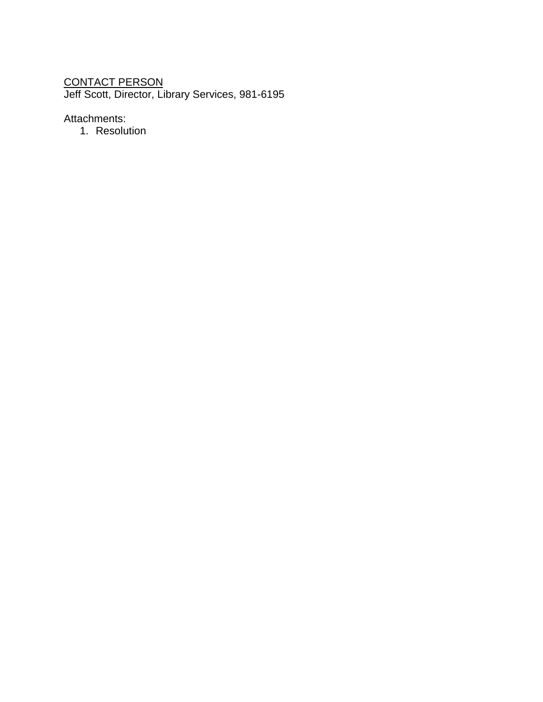# <u>CONTACT PERSON</u>

Jeff Scott, Director, Library Services, 981-6195

Attachments:

1. Resolution